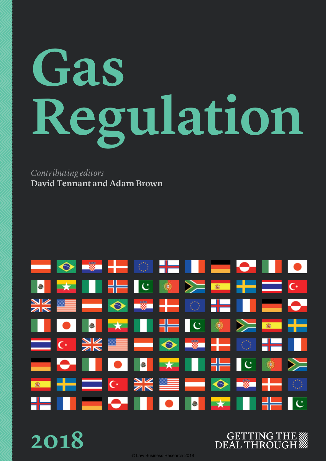# **Gas Regulation**

*Contributing editors* **David Tennant and Adam Brown**



**2018**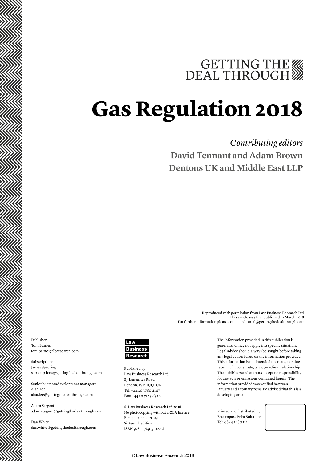# GETTING THE

# **Gas Regulation 2018**

### *Contributing editors* **David Tennant and Adam Brown Dentons UK and Middle East LLP**

Publisher Tom Barnes tom.barnes@lbresearch.com

Subscriptions James Spearing subscriptions@gettingthedealthrough.com

Senior business development managers Alan Lee alan.lee@gettingthedealthrough.com

Adam Sargent adam.sargent@gettingthedealthrough.com

Dan White dan.white@gettingthedealthrough.com



Published by Law Business Research Ltd 87 Lancaster Road London, W11 1QQ, UK Tel: +44 20 3780 4147 Fax: +44 20 7229 6910

© Law Business Research Ltd 2018 No photocopying without a CLA licence. First published 2003 Sixteenth edition ISBN 978-1-78915-027-8

The information provided in this publication is general and may not apply in a specific situation. Legal advice should always be sought before taking any legal action based on the information provided. This information is not intended to create, nor does receipt of it constitute, a lawyer–client relationship. The publishers and authors accept no responsibility for any acts or omissions contained herein. The information provided was verified between January and February 2018. Be advised that this is a developing area.

Reproduced with permission from Law Business Research Ltd

For further information please contact editorial@gettingthedealthrough.com

This article was first published in March 2018

Printed and distributed by Encompass Print Solutions Tel: 0844 2480 112

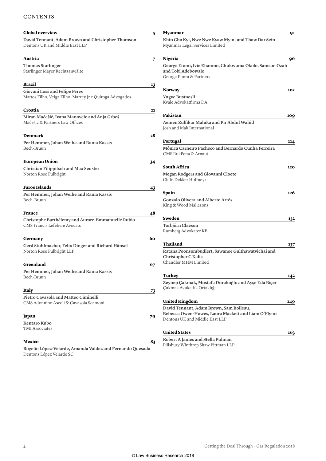#### **CONTENTS**

| <b>Global overview</b>                                                                | 5  |
|---------------------------------------------------------------------------------------|----|
| David Tennant, Adam Brown and Christopher Thomson<br>Dentons UK and Middle East LLP   |    |
| Austria                                                                               | 7  |
| <b>Thomas Starlinger</b>                                                              |    |
| Starlinger Mayer Rechtsanwälte                                                        |    |
| <b>Brazil</b>                                                                         | 13 |
| Giovani Loss and Felipe Feres                                                         |    |
| Mattos Filho, Veiga Filho, Marrey Jr e Quiroga Advogados                              |    |
| Croatia                                                                               | 21 |
| Miran Maćešić, Ivana Manovelo and Anja Grbeš                                          |    |
| Maćešić & Partners Law Offices                                                        |    |
| Denmark                                                                               | 28 |
| Per Hemmer, Johan Weihe and Rania Kassis                                              |    |
| Bech-Bruun                                                                            |    |
| <b>European Union</b>                                                                 | 34 |
| <b>Christian Filippitsch and Max Seuster</b>                                          |    |
| Norton Rose Fulbright                                                                 |    |
| <b>Faroe Islands</b>                                                                  | 43 |
| Per Hemmer, Johan Weihe and Rania Kassis<br>Bech-Bruun                                |    |
| France                                                                                | 48 |
| Christophe Barthélemy and Aurore-Emmanuelle Rubio                                     |    |
| CMS Francis Lefebvre Avocats                                                          |    |
| Germany                                                                               | 60 |
| Gerd Stuhlmacher, Felix Dinger and Richard Hänsel                                     |    |
| Norton Rose Fulbright LLP                                                             |    |
| Greenland                                                                             | 67 |
| Per Hemmer, Johan Weihe and Rania Kassis                                              |    |
| Bech-Bruun                                                                            |    |
| Italy                                                                                 | 73 |
| Pietro Cavasola and Matteo Ciminelli                                                  |    |
| CMS Adonnino Ascoli & Cavasola Scamoni                                                |    |
| Japan                                                                                 | 79 |
| Kentaro Kubo                                                                          |    |
| <b>TMI</b> Associates                                                                 |    |
| Mexico                                                                                | 83 |
| Rogelio López-Velarde, Amanda Valdez and Fernando Quesada<br>Dentons López Velarde SC |    |

| Myanmar                                                                                                                         | 91  |
|---------------------------------------------------------------------------------------------------------------------------------|-----|
| Khin Cho Kyi, Nwe Nwe Kyaw Myint and Thaw Dar Sein<br>Myanmar Legal Services Limited                                            |     |
| Nigeria                                                                                                                         | 96  |
| George Etomi, Ivie Ehanmo, Chukwuma Okolo, Samson Ozah<br>and Tobi Adebowale<br>George Etomi & Partners                         |     |
| <b>Norway</b>                                                                                                                   | 102 |
| <b>Yngve Bustnesli</b><br>Kvale Advokatfirma DA                                                                                 |     |
| Pakistan                                                                                                                        | 109 |
| Aemen Zulfikar Maluka and Pir Abdul Wahid<br>Josh and Mak International                                                         |     |
| Portugal                                                                                                                        | 114 |
| Mónica Carneiro Pacheco and Bernardo Cunha Ferreira<br>CMS Rui Pena & Arnaut                                                    |     |
| South Africa                                                                                                                    | 120 |
| <b>Megan Rodgers and Giovanni Cloete</b><br>Cliffe Dekker Hofmeyr                                                               |     |
| Spain                                                                                                                           | 126 |
| <b>Gonzalo Olivera and Alberto Artés</b><br>King & Wood Mallesons                                                               |     |
| Sweden                                                                                                                          | 132 |
| Torbjörn Claeson<br>Ramberg Advokater KB                                                                                        |     |
| Thailand                                                                                                                        | 137 |
| Ratana Poonsombudlert, Sawanee Gulthawatvichai and<br><b>Christopher C Kalis</b><br>Chandler MHM Limited                        |     |
| Turkey                                                                                                                          | 142 |
| Zeynep Çakmak, Mustafa Durakoğlu and Ayşe Eda Biçer<br>Çakmak Avukatlık Ortaklığı                                               |     |
| United Kingdom                                                                                                                  | 149 |
| David Tennant, Adam Brown, Sam Boileau,<br>Rebecca Owen-Howes, Laura Mackett and Liam O'Flynn<br>Dentons UK and Middle East LLP |     |
| <b>United States</b>                                                                                                            | 163 |
| Robert A James and Stella Pulman<br>Pillsbury Winthrop Shaw Pittman LLP                                                         |     |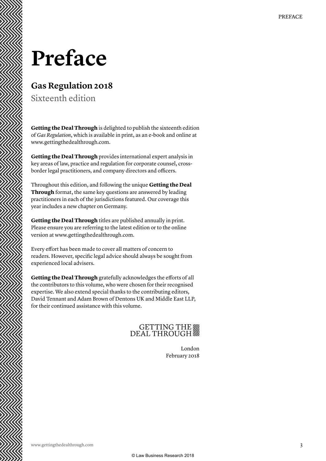### **Preface**

#### **Gas Regulation 2018**

Sixteenth edition

**Getting the Deal Through** is delighted to publish the sixteenth edition of *Gas Regulation*, which is available in print, as an e-book and online at www.gettingthedealthrough.com.

**Getting the Deal Through** provides international expert analysis in key areas of law, practice and regulation for corporate counsel, crossborder legal practitioners, and company directors and officers.

Throughout this edition, and following the unique **Getting the Deal Through** format, the same key questions are answered by leading practitioners in each of the jurisdictions featured. Our coverage this year includes a new chapter on Germany.

**Getting the Deal Through** titles are published annually in print. Please ensure you are referring to the latest edition or to the online version at www.gettingthedealthrough.com.

Every effort has been made to cover all matters of concern to readers. However, specific legal advice should always be sought from experienced local advisers.

**Getting the Deal Through** gratefully acknowledges the efforts of all the contributors to this volume, who were chosen for their recognised expertise. We also extend special thanks to the contributing editors, David Tennant and Adam Brown of Dentons UK and Middle East LLP, for their continued assistance with this volume.

### GETTING THE

London February 2018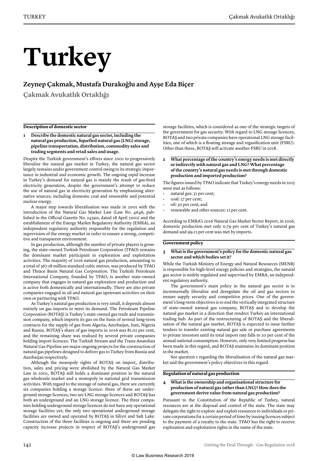# **Turkey**

#### **Zeynep Çakmak, Mustafa Durakoğlu and Ayşe Eda Biçer**

**Çakmak Avukatlık Ortaklığı**

#### **Description of domestic sector**

**1 Describe the domestic natural gas sector, including the natural gas production, liquefied natural gas (LNG) storage, pipeline transportation, distribution, commodity sales and trading segments and retail sales and usage.** 

Despite the Turkish government's efforts since 2001 to progressively liberalise the natural gas market in Turkey, the natural gas sector largely remains under government control owing to its strategic importance in industrial and economic growth. The ongoing rapid increase in Turkey's demand for natural gas is mainly the result of gas-fired electricity generation, despite the government's attempt to reduce the use of natural gas in electricity generation by emphasising alternative sources, including domestic coal and renewable and potential nuclear energy.

A major step towards liberalisation was made in 2001 with the introduction of the Natural Gas Market Law (Law No. 4646, published in the Official Gazette No. 24390, dated 18 April 2001) and the establishment of the Energy Market Regulatory Authority (EMRA), an independent regulatory authority responsible for the regulation and supervision of the energy market in order to ensure a strong, competitive and transparent environment.

In gas production, although the number of private players is growing, the state-owned Turkish Petroleum Corporation (TPAO) remains the dominant market participant in exploration and exploitation activities. The majority of 2016 natural gas production, amounting to a total of 367.28 million standard cubic metres, was produced by TPAO and Thrace Basin Natural Gas Corporation. The Turkish Petroleum International Company, founded by TPAO, is another state-owned company that engages in natural gas exploration and production and is active both domestically and internationally. There are also private companies engaged in oil and natural gas upstream activities on their own or partnering with TPAO.

As Turkey's natural gas production is very small, it depends almost entirely on gas imports to meet its demand. The Petroleum Pipeline Corporation (BOTAŞ) is Turkey's state-owned gas trade and transmission company, which imports its gas on the basis of several long-term contracts for the supply of gas from Algeria, Azerbaijan, Iran, Nigeria and Russia. BOTAŞ's share of gas imports in 2016 was 81.02 per cent, and the remaining share was realised by several private companies holding import licences. The Turkish Stream and the Trans-Anatolian Natural Gas Pipeline are major ongoing projects for the construction of natural gas pipelines designed to deliver gas to Turkey from Russia and Azerbaijan respectively.

Although the monopoly rights of BOTAŞ on import, distribution, sales and pricing were abolished by the Natural Gas Market Law in 2001, BOTAŞ still holds a dominant position in the natural gas wholesale market and a monopoly in national grid transmission activities. With regard to the storage of natural gas, there are currently six companies holding a storage licence: three of these are underground storage licences, two are LNG storage licences and BOTAŞ has both an underground and an LNG storage licence. The three companies holding underground storage licences do not have any operational storage facilities yet; the only two operational underground storage facilities are owned and operated by BOTAŞ in Silivri and Salt Lake. Construction of the three facilities is ongoing and there are pending capacity increase projects in respect of BOTAŞ's underground gas

storage facilities, which is considered as one of the strategic targets of the government for gas security. With regard to LNG storage licences, BOTAŞ and two private companies have operational LNG storage facilities, one of which is a floating storage and regasification unit (FSRU). Other than these, BOTAŞ will activate another FSRU in 2018.

**2 What percentage of the country's energy needs is met directly or indirectly with natural gas and LNG? What percentage of the country's natural gas needs is met through domestic production and imported production?**

The figures issued by TPAO indicate that Turkey's energy needs in 2015 were met as follows:

- natural gas: 31 per cent;
- coal: 27 per cent;
- oil: 30 per cent; and
- renewable and other sources: 12 per cent.

According to EMRA's 2016 Natural Gas Market Sector Report, in 2016, domestic production met only 0.79 per cent of Turkey's natural gas demand and 99.21 per cent was met by imports.

#### **Government policy**

#### **3 What is the government's policy for the domestic natural gas sector and which bodies set it?**

While the Turkish Ministry of Energy and Natural Resources (MENR) is responsible for high-level energy policies and strategies, the natural gas sector is widely regulated and supervised by EMRA, an independent regulatory authority.

The government's main policy in the natural gas sector is to incrementally liberalise and deregulate the oil and gas sectors to ensure supply security and competitive prices. One of the government's long-term objectives is to end the vertically integrated structure of state-owned natural gas company, BOTAŞ and to develop the natural gas market in a direction that renders Turkey an international trading hub. As part of the restructuring of BOTAŞ and the liberalisation of the natural gas market, BOTAŞ is expected to issue further tenders to transfer existing natural gas sale or purchase agreements to private investors until its total import rate falls to 20 per cent of the annual national consumption. However, only very limited progress has been made in this regard, and BOTAŞ maintains its dominant position in the market.

See question 1 regarding the liberalisation of the natural gas market and the government's policy objectives in this regard.

#### **Regulation of natural gas production**

#### **4 What is the ownership and organisational structure for production of natural gas (other than LNG)? How does the government derive value from natural gas production?**

Pursuant to the Constitution of the Republic of Turkey, natural resources are at the disposal and control of the state. The state may delegate the right to explore and exploit resources to individuals or private corporations for a certain period of time by issuing licences subject to the payment of a royalty to the state. TPAO has the right to receive exploration and exploitation rights in the name of the state.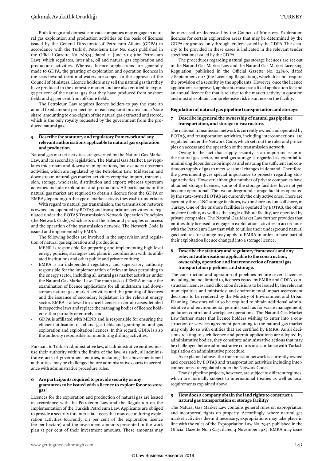Both foreign and domestic private companies may engage in natural gas exploration and production activities on the basis of licences issued by the General Directorate of Petroleum Affairs (GDPA) in accordance with the Turkish Petroleum Law No. 6491 published in the Official Gazette No. 28674, dated 11 June 2013 (the Petroleum Law), which regulates, inter alia, oil and natural gas exploration and production activities. Whereas licence applications are generally made to GDPA, the granting of exploration and operation licences in the seas beyond territorial waters are subject to the approval of the Council of Ministers. Licence holders may sell the natural gas that they have produced in the domestic market and are also entitled to export 35 per cent of the natural gas that they have produced from onshore fields and 45 per cent from offshore fields.

The Petroleum Law requires licence holders to pay the state an annual fixed amount per hectare for each exploration area and a 'state share' amounting to one-eighth of the natural gas extracted and stored, which is the only royalty requested by the government from the produced natural gas.

#### **5 Describe the statutory and regulatory framework and any relevant authorisations applicable to natural gas exploration and production.**

Natural gas market activities are governed by the Natural Gas Market Law, and its secondary legislation. The Natural Gas Market Law regulates midstream and downstream operations, but excludes upstream activities, which are regulated by the Petroleum Law. Midstream and downstream natural gas market activities comprise import, transmission, storage, wholesale, distribution and export; whereas upstream activities include exploration and production. All participants in the natural gas market are required to obtain a licence from the GDPA or EMRA, depending on the type of market activity they wish to undertake.

With regard to natural gas transmission, the transmission network is owned and operated by BOTAŞ and transportation activities are regulated under the BOTAŞ Transmission Network Operation Principles (the Network Code), which sets out the rules and principles on access and the operation of the transmission network. The Network Code is issued and implemented by EMRA.

The following bodies are involved in the supervision and regulation of natural gas exploration and production:

- MENR is responsible for preparing and implementing high-level energy policies, strategies and plans in coordination with its affiliated institutions and other public and private entities;
- EMRA is an independent regulatory and supervisory authority responsible for the implementation of relevant laws pertaining to the energy sector, including all natural gas market activities under the Natural Gas Market Law. The main tasks of EMRA include the examination of licence applications for all midstream and downstream natural gas market activities and the granting of licences and the issuance of secondary legislation in the relevant energy sector. EMRA is allowed to cancel licences in certain cases detailed in respective laws and replace the managing bodies of licence holders either partially or entirely; and
- GDPA is affiliated with MENR and is responsible for ensuring the efficient utilisation of oil and gas fields and granting oil and gas exploration and exploitation licences. In this regard, GDPA is also the authority responsible for monitoring drilling activities.

Pursuant to Turkish administrative law, all administrative entities must use their authority within the limits of the law. As such, all administrative acts of government entities, including the above-mentioned authorities, may be challenged before administrative courts in accordance with administrative procedure rules.

#### **6 Are participants required to provide security or any guarantees to be issued with a licence to explore for or to store gas?**

Licences for the exploration and production of natural gas are issued in accordance with the Petroleum Law and the Regulation on the Implementation of the Turkish Petroleum Law. Applicants are obliged to provide a security for, inter alia, losses that may occur during exploration activities (currently 0.1 per cent of the exploration licence fee per hectare) and the investment amounts presented in the work plan (2 per cent of their investment amount). These amounts may be increased or decreased by the Council of Ministers. Exploration licences for certain exploration areas that may be determined by the GDPA are granted only through tenders issued by the GDPA. The security to be provided in these cases is indicated in the relevant tender specifications issued by the GDPA.

The procedures regarding natural gas storage licences are set out in the Natural Gas Market Law and the Natural Gas Market Licensing Regulation, published in the Official Gazette No. 24869, dated 7 September 2002 (the Licensing Regulation), which does not require the provision of a security by the applicants. However, once the licence application is approved, applicants must pay a fixed application fee and an annual licence fee that is relative to the market activity in question and must also obtain comprehensive risk insurance on the facility.

#### **Regulation of natural gas pipeline transportation and storage**

#### **7 Describe in general the ownership of natural gas pipeline transportation, and storage infrastructure.**

The national transmission network is currently owned and operated by BOTAŞ, and transportation activities, including interconnections, are regulated under the Network Code, which sets out the rules and principles on access and the operation of the transmission network.

Owing to the fact that supply security is an important issue in the natural gas sector, natural gas storage is regarded as essential to minimising dependence on imports and ensuring the sufficient and continuous supply of gas to meet seasonal changes in demand. Therefore, the government gives special importance to projects regarding storage activities. However, although a number of private companies have obtained storage licences, some of the storage facilities have not yet become operational. The two underground storage facilities operated by the state-owned BOTAŞ are currently the only active ones. There are currently three LNG storage facilities, two onshore and one offshore, in Turkey. One of the onshore facilities is operated by BOTAŞ, the other onshore facility, as well as the single offshore facility, are operated by private companies. The Natural Gas Market Law further provides that entities duly licensed to engage in exploitation activities in accordance with the Petroleum Law that wish to utilise their underground natural gas facilities for storage may apply to EMRA in order to have part of their exploitation licence changed into a storage licence.

#### **8 Describe the statutory and regulatory framework and any relevant authorisations applicable to the construction, ownership, operation and interconnection of natural gas transportation pipelines, and storage.**

The construction and operation of pipelines require several licences including, but not limited to, licences issued by EMRA and GDPA, construction licences; land allocation decisions to be issued by the relevant municipalities and ministries; and environmental impact assessment decisions to be rendered by the Ministry of Environment and Urban Planning. Investors will also be required to obtain additional administrative and environmental permits, such as for waste management, pollution control and workplace operations. The Natural Gas Market Law further states that licence holders wishing to enter into a construction or services agreement pertaining to the natural gas market may only do so with entities that are certified by EMRA. As all decisions relating to such licence and permit applications are adopted by administrative bodies, they constitute administrative actions that may be challenged before administrative courts in accordance with Turkish legislation on administrative procedure.

As explained above, the transmission network is currently owned and operated by BOTAŞ and transportation activities including interconnections are regulated under the Network Code.

Transit pipeline projects, however, are subject to different regimes, which are normally subject to international treaties as well as local requirements explained above.

#### **9 How does a company obtain the land rights to construct a natural gas transportation or storage facility?**

The Natural Gas Market Law contains general rules on expropriation and incorporeal rights on property. Accordingly, where natural gas market activities deem it necessary, expropriations may take place in line with the rules of the Expropriation Law No. 2942, published in the Official Gazette No. 18215, dated 4 November 1983. EMRA may issue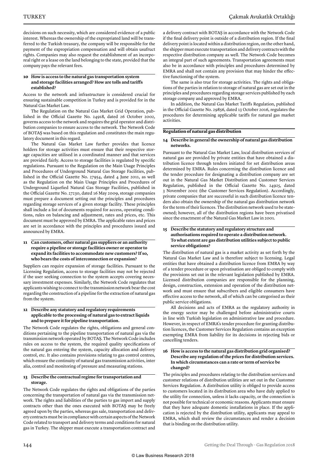decisions on such necessity, which are considered evidence of a public interest. Whereas the ownership of the expropriated land will be transferred to the Turkish treasury, the company will be responsible for the payment of the expropriation compensation and will obtain usufruct rights. Companies may also request the establishment of an incorporeal right or a lease on the land belonging to the state, provided that the company pays the relevant fees.

#### **10 How is access to the natural gas transportation system and storage facilities arranged? How are tolls and tariffs established?**

Access to the network and infrastructure is considered crucial for ensuring sustainable competition in Turkey and is provided for in the Natural Gas Market Law.

The Regulation on the Natural Gas Market Grid Operation, published in the Official Gazette No. 24918, dated 26 October 2002, governs access to the network and requires the grid operator and distribution companies to ensure access to the network. The Network Code of BOTAŞ was based on this regulation and constitutes the main regulatory document in this regard.

The Natural Gas Market Law further provides that licence holders for storage activities must ensure that their respective storage capacities are utilised in a coordinated manner and that services are provided fairly. Access to storage facilities is regulated by specific regulations. Pursuant to the Regulation on the Main Usage Principles and Procedures of Underground Natural Gas Storage Facilities, published in the Official Gazette No. 27954, dated 4 June 2011, as well as the Regulation on the Main Usage Principles and Procedures of Underground Liquefied Natural Gas Storage Facilities, published in the Official Gazette No. 27230, dated 16 May 2009, storage companies must prepare a document setting out the principles and procedures regarding storage services of a given storage facility. These principles shall include a list of documents required for access, operating conditions, rules on balancing and adjustment, rates and prices, etc. This document must be approved by EMRA. The applicable rates and prices are set in accordance with the principles and procedures issued and announced by EMRA.

#### **11 Can customers, other natural gas suppliers or an authority require a pipeline or storage facilities owner or operator to expand its facilities to accommodate new customers? If so, who bears the costs of interconnection or expansion?**

Suppliers can require expansion of storage facilities. Pursuant to the Licensing Regulation, access to storage facilities may not be rejected if the user seeking connection to the system accepts covering necessary investment expenses. Similarly, the Network Code regulates that applicants wishing to connect to the transmission network bear the cost regarding the construction of a pipeline for the extraction of natural gas from the system.

#### **12 Describe any statutory and regulatory requirements applicable to the processing of natural gas to extract liquids and to prepare it for pipeline transportation.**

The Network Code regulates the rights, obligations and general conditions pertaining to the pipeline transportation of natural gas via the transmission network operated by BOTAŞ. The Network Code includes rules on access to the system, the required quality specifications of the natural gas entering the system, capacity allocation and delivery control, etc. It also contains provisions relating to gas control centres, which ensure the continuity of natural gas transmission activities, inter alia, control and monitoring of pressure and measuring stations.

#### **13 Describe the contractual regime for transportation and storage.**

The Network Code regulates the rights and obligations of the parties concerning the transportation of natural gas via the transmission network. The rights and liabilities of the parties to gas import and supply contracts other than the ones executed with BOTAŞ may be freely agreed upon by the parties, whereas gas sale, transportation and delivery contracts must be in compliance with certain aspects of the Network Code related to transport and delivery terms and conditions for natural gas in Turkey. The shipper must execute a transportation contract and

a delivery contract with BOTAŞ in accordance with the Network Code if the final delivery point is outside of a distribution region. If the final delivery point is located within a distribution region, on the other hand, the shipper must execute transportation and delivery contracts with the respective distribution company as well. The Network Code becomes an integral part of such agreements. Transportation agreements must also be in accordance with principles and procedures determined by EMRA and shall not contain any provision that may hinder the effective functioning of the system.

The same is also true for storage activities. The rights and obligations of the parties in relation to storage of natural gas are set out in the principles and procedures regarding storage services published by each storage company and approved by EMRA.

In addition, the Natural Gas Market Tariffs Regulation, published in the Official Gazette No. 29856, dated 13 October 2016, regulates the procedures for determining applicable tariffs for natural gas market activities.

#### **Regulation of natural gas distribution**

#### **14 Describe in general the ownership of natural gas distribution networks.**

Pursuant to the Natural Gas Market Law, local distribution services of natural gas are provided by private entities that have obtained a distribution licence through tenders initiated for set distribution areas determined by EMRA. Rules concerning the distribution licence and the tender procedure for designating a distribution company are set out in the Natural Gas Market Distribution and Customer Services Regulation, published in the Official Gazette No. 24925, dated 3 November 2002 (the Customer Services Regulation). Accordingly, private companies that are successful in such distribution licence tenders also obtain the ownership of the natural gas distribution network for the term of their licences. The distribution network used to be stateowned; however, all of the distribution regions have been privatised since the enactment of the Natural Gas Market Law in 2001.

#### **15 Describe the statutory and regulatory structure and authorisations required to operate a distribution network. To what extent are gas distribution utilities subject to public service obligations?**

The distribution of natural gas is a market activity as set forth by the Natural Gas Market Law and is therefore subject to licensing. Legal entities that have obtained a distribution licence from EMRA by way of a tender procedure or upon privatisation are obliged to comply with the provisions set out in the relevant legislation published by EMRA. Licensed distribution companies are responsible for the planning, design, construction, extension and operation of the distribution network and must ensure that subscribers and eligible consumers have effective access to the network, all of which can be categorised as their public service obligations.

All decisions and acts of EMRA as the regulatory authority in the energy sector may be challenged before administrative courts in line with Turkish legislation on administrative law and procedure. However, in respect of EMRA's tender procedure for granting distribution licences, the Customer Services Regulation contains an exception exempting EMRA from liability for its decisions in rejecting bids or cancelling tenders.

#### **16 How is access to the natural gas distribution grid organised? Describe any regulation of the prices for distribution services. In which circumstances can a rate or term of service be changed?**

The principles and procedures relating to the distribution services and customer relations of distribution utilities are set out in the Customer Services Regulation. A distribution utility is obliged to provide access to customers located in its distribution area who have duly applied to the utility for connection, unless it lacks capacity, or the connection is not possible for technical or economic reasons. Applicants must ensure that they have adequate domestic installations in place. If the application is rejected by the distribution utility, applicants may appeal to EMRA, which shall review the circumstances and render a decision that is binding on the distribution utility.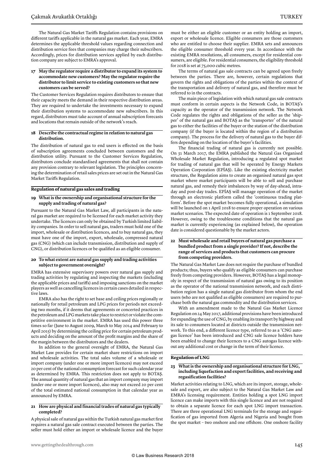The Natural Gas Market Tariffs Regulation contains provisions on different tariffs applicable in the natural gas market. Each year, EMRA determines the applicable threshold values regarding connection and distribution service fees that companies may charge their subscribers.

Accordingly, prices for distribution services applied by each distribution company are subject to EMRA's approval.

#### **17 May the regulator require a distributor to expand its system to accommodate new customers? May the regulator require the distributor to limit service to existing customers so that new customers can be served?**

The Customer Services Regulation requires distributors to ensure that their capacity meets the demand in their respective distribution areas. They are required to undertake the investments necessary to expand their distribution systems to accommodate new subscribers. In this regard, distributors must take account of annual subscription forecasts and locations that remain outside of the network's reach.

#### **18 Describe the contractual regime in relation to natural gas distribution.**

The distribution of natural gas to end users is effected on the basis of subscription agreements concluded between customers and the distribution utility. Pursuant to the Customer Services Regulation, distributors conclude standardised agreements that shall not contain any provision contrary to relevant legislation. The principles concerning the determination of retail sales prices are set out in the Natural Gas Market Tariffs Regulation.

#### **Regulation of natural gas sales and trading**

#### **19 What is the ownership and organisational structure for the supply and trading of natural gas?**

Pursuant to the Natural Gas Market Law, all participants in the natural gas market are required to be licensed for each market activity they undertake. The licences can only be obtained by Turkish limited liability companies. In order to sell natural gas, traders must hold one of the import, wholesale or distribution licences, and to buy natural gas, they must have one of the import, export, wholesale, compressed natural gas (CNG) (which can include transmission, distribution and supply of CNG), or distribution licences or be qualified as an eligible consumer.

#### **20 To what extent are natural gas supply and trading activities subject to government oversight?**

EMRA has extensive supervisory powers over natural gas supply and trading activities by regulating and inspecting the markets (including the applicable prices and tariffs) and imposing sanctions on the market players as well as cancelling licences in certain cases detailed in respective laws.

EMRA also has the right to set base and ceiling prices regionally or nationally for retail petroleum and LPG prices for periods not exceeding two months, if it deems that agreements or concerted practices in the petroleum and LPG markets take place to restrict or violate the competitive environment in the market. EMRA has used this power three times so far (June to August 2009, March to May 2014 and February to April 2015) by determining the ceiling price for certain petroleum products and deciding on the amount of the profit margins and the share of the margin between the distributors and the dealers.

In addition to the general oversight of EMRA, the Natural Gas Market Law provides for certain market share restrictions on import and wholesale activities. The total sales volume of a wholesale or import company (under one or more import licences) may not exceed 20 per cent of the national consumption forecast for such calendar year as determined by EMRA. This restriction does not apply to BOTAŞ. The annual quantity of natural gas that an import company may import (under one or more import licences), also may not exceed 20 per cent of the total estimated national consumption in that calendar year as announced by EMRA.

#### **21 How are physical and financial trades of natural gas typically completed?**

A physical sale of natural gas within the Turkish natural gas market first requires a natural gas sale contract executed between the parties. The seller must hold either an import or wholesale licence and the buyer must be either an eligible customer or an entity holding an import, export or wholesale licence. Eligible consumers are those customers who are entitled to choose their supplier. EMRA sets and announces the eligible consumer threshold every year. In accordance with the existing EMRA resolutions, all consumers, except for residential consumers, are eligible. For residential consumers, the eligibility threshold for 2018 is set at 75,000 cubic metres.

The terms of natural gas sale contracts can be agreed upon freely between the parties. There are, however, certain regulations that govern the rights and obligations of the parties within the context of the transportation and delivery of natural gas, and therefore must be referred to in the contracts.

The main piece of legislation with which natural gas sale contracts must conform in certain aspects is the Network Code, in BOTAŞ's capacity as the operator of the transmission network. The Network Code regulates the rights and obligations of the seller as the 'shipper' of the natural gas and BOTAŞ as the 'transporter' of the natural gas to either the facilities of the buyer or the station of the distribution company (if the buyer is located within the region of a distribution company). The process for the delivery of natural gas to the buyer differs depending on the location of the buyer's facilities.

The financial trading of natural gas is currently not possible. On 31 March 2017, the EMRA published the Natural Gas Organised Wholesale Market Regulation, introducing a regulated spot market for trading of natural gas that will be operated by Energy Markets Operation Corporation (EPİAŞ). Like the existing electricity market structure, the Regulation aims to create an organised natural gas spot market where market participants will be able to sell and purchase natural gas, and remedy their imbalances by way of day-ahead, intraday and post-day trades. EPİAŞ will manage operation of the market through an electronic platform called the 'continuous trading platform'. Before the spot market becomes fully operational, a simulation will be launched on 1 April 2018 to ensure proper operation on various market scenarios. The expected date of operation is 1 September 2018. However, owing to the troublesome conditions that the natural gas market is currently experiencing (as explained below), the operation date is considered questionable by the market actors.

#### **22 Must wholesale and retail buyers of natural gas purchase a bundled product from a single provider? If not, describe the range of services and products that customers can procure from competing providers.**

The Natural Gas Market Law does not require the purchase of bundled products; thus, buyers who qualify as eligible consumers can purchase freely from competing providers. However, BOTAŞ has a legal monopoly in respect of the transmission of natural gas owing to its position as the operator of the national transmission network, and each distribution region has a single natural gas distributor from whom the end users (who are not qualified as eligible consumers) are required to purchase both the natural gas commodity and the distribution services.

With an amendment made to the Natural Gas Market Licence Regulation on 24 May 2017, additional provisions have been introduced for expanding the use of CNG, by enabling its transport by highway and its sale to consumers located at districts outside the transmission network. To this end, a different licence type, referred to as a 'CNG autogas licence' has been introduced and CNG sale licence holders have been enabled to change their licences to a CNG autogas licence without any additional cost or change in the term of their licence.

#### **Regulation of LNG**

#### **23 What is the ownership and organisational structure for LNG, including liquefaction and export facilities, and receiving and regasification facilities?**

Market activities relating to LNG, which are its import, storage, wholesale and export, are also subject to the Natural Gas Market Law and EMRA's licensing requirement. Entities holding a spot LNG import licence can make imports with this single licence and are not required to obtain a separate licence for each spot LNG import transaction. There are three operational LNG terminals for the storage and regasification of gas imported from Algeria and Nigeria and bought from the spot market – two onshore and one offshore. One onshore facility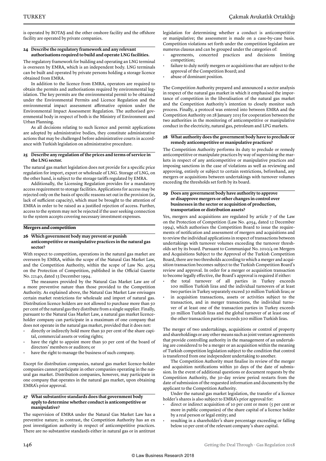is operated by BOTAŞ and the other onshore facility and the offshore facility are operated by private companies.

#### **24 Describe the regulatory framework and any relevant authorisations required to build and operate LNG facilities.**

The regulatory framework for building and operating an LNG terminal is overseen by EMRA, which is an independent body. LNG terminals can be built and operated by private persons holding a storage licence obtained from EMRA.

In addition to the licence from EMRA, operators are required to obtain the permits and authorisations required by environmental legislation. The key permits are the environmental permit to be obtained under the Environmental Permits and Licence Regulation and the environmental impact assessment affirmative opinion under the Environmental Impact Assessment Regulation. The authorised governmental body in respect of both is the Ministry of Environment and Urban Planning.

As all decisions relating to such licence and permit applications are adopted by administrative bodies, they constitute administrative actions that may be challenged before administrative courts in accordance with Turkish legislation on administrative procedure.

#### **25 Describe any regulation of the prices and terms of service in the LNG sector.**

The natural gas market legislation does not provide for a specific price regulation for import, export or wholesale of LNG. Storage of LNG, on the other hand, is subject to the storage tariffs regulated by EMRA.

Additionally, the Licensing Regulation provides for a mandatory access requirement to storage facilities. Applications for access may be rejected only on the basis of specific reasons set out in the provision (ie, lack of sufficient capacity), which must be brought to the attention of EMRA in order to be raised as a justified rejection of access. Further, access to the system may not be rejected if the user seeking connection to the system accepts covering necessary investment expenses.

#### **Mergers and competition**

#### **26 Which government body may prevent or punish anticompetitive or manipulative practices in the natural gas sector?**

With respect to competition, operations in the natural gas market are overseen by EMRA, within the scope of the Natural Gas Market Law, and the Competition Authority, within the scope of Law No. 4054 on the Protection of Competition, published in the Official Gazette No. 22140, dated 13 December 1994.

The measures provided by the Natural Gas Market Law are of a more preventive nature than those provided to the Competition Authority. As explained above, the Natural Gas Market Law envisages certain market restrictions for wholesale and import of natural gas. Distribution licence holders are not allowed to purchase more than 50 per cent of the natural gas they distribute from a single supplier. Finally, pursuant to the Natural Gas Market Law, a natural gas market licenceholder company can participate in a maximum of one company that does not operate in the natural gas market, provided that it does not:

- directly or indirectly hold more than 50 per cent of the share capital, commercial assets or voting rights;
- have the right to appoint more than 50 per cent of the board of directors' members or auditors; or
- have the right to manage the business of such company.

Except for distribution companies, natural gas market licence-holder companies cannot participate in other companies operating in the natural gas market. Distribution companies, however, may participate in one company that operates in the natural gas market, upon obtaining EMRA's prior approval.

#### **27 What substantive standards does that government body apply to determine whether conduct is anticompetitive or manipulative?**

The supervision of EMRA under the Natural Gas Market Law has a preventive nature; in contrast, the Competition Authority has an ex post investigation authority in respect of anticompetitive practices. There are no substantive standards either in natural gas or in antitrust legislation for determining whether a conduct is anticompetitive or manipulative; the assessment is made on a case-by-case basis. Competition violations set forth under the competition legislation are numerus clausus and can be grouped under the categories of:

- agreements, concerted practices and decisions limiting competition;
- failure to duly notify mergers or acquisitions that are subject to the approval of the Competition Board; and
- abuse of dominant position.

The Competition Authority prepared and announced a sector analysis in respect of the natural gas market in which it emphasised the importance of competition in the liberalisation of the natural gas market and the Competition Authority's intention to closely monitor such process. Finally, a protocol was entered into between EMRA and the Competition Authority on 28 January 2015 for cooperation between the two authorities in the monitoring of anticompetitive or manipulative conduct in the electricity, natural gas, petroleum and LPG markets.

#### **28 What authority does the government body have to preclude or remedy anticompetitive or manipulative practices?**

The Competition Authority performs its duty to preclude or remedy anticompetitive or manipulate practices by way of supervising the markets in respect of any anticompetitive or manipulative practices and imposing sanctions in the case of violations as well as reviewing and approving, entirely or subject to certain restrictions, beforehand, any mergers or acquisitions between undertakings with turnover volumes exceeding the thresholds set forth by its board.

#### **29 Does any government body have authority to approve or disapprove mergers or other changes in control over businesses in the sector or acquisition of production, transportation or distribution assets?**

Yes, mergers and acquisitions are regulated by article 7 of the Law on the Protection of Competition (Law No. 4054, dated 12 December 1994), which authorises the Competition Board to issue the requirements of notification and assessment of mergers and acquisitions and to review the individual applications in respect of transactions between undertakings with turnover volumes exceeding the turnover thresholds set by its board. Pursuant to Communiqué No. 2010/4 on Mergers and Acquisitions Subject to the Approval of the Turkish Competition Board, there are two thresholds according to which a merger and acquisition transaction becomes subject to the Turkish Competition Board's review and approval. In order for a merger or acquisition transaction to become legally effective, the Board's approval is required if either:

the total turnover of all parties in Turkey exceeds 100 million Turkish liras and the individual turnovers of at least two parties in Turkey separately exceed 30 million Turkish liras; or in acquisition transactions, assets or activities subject to the transaction, and in merger transactions, the individual turnover of at least one of the transaction parties in Turkey exceeds 30 million Turkish liras and the global turnover of at least one of the other transaction parties exceeds 500 million Turkish liras.

The merger of two undertakings, acquisitions or control of property and shareholdings or any other means such as joint venture agreements that provide controlling authority in the management of an undertaking are considered to be a merger or an acquisition within the meaning of Turkish competition legislation subject to the condition that control is transferred from one independent undertaking to another.

The Competition Authority must finalise its review of the merger and acquisition notifications within 30 days of the date of submission. In the event of additional questions or document requests by the Competition Authority, the 30-day review period restarts from the date of submission of the requested information and documents by the applicant to the Competition Authority.

Under the natural gas market legislation, the transfer of a licence holder's shares is also subject to EMRA's prior approval for:

- direct or indirect acquisition of 10 per cent or more (5 per cent or more in public companies) of the share capital of a licence holder by a real person or legal entity; and
- resulting in a shareholder's share percentage exceeding or falling below 10 per cent of the relevant company's share capital.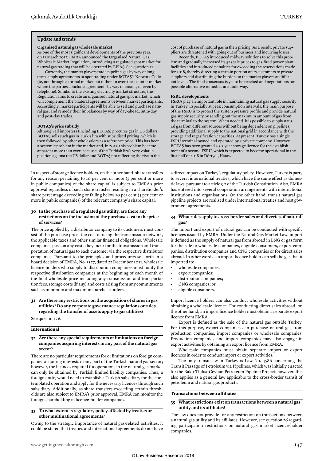#### **Update and trends**

#### **Organised natural gas wholesale market**

As one of the most significant developments of the previous year, on 31 March 2017, EMRA announced the Organised Natural Gas Wholesale Market Regulation, introducing a regulated spot market for natural gas trading that will be operated by EPİAŞ. See question 21.

Currently, the market players trade pipeline gas by way of longterm supply agreements or spot trading under BOTAŞ's Network Code (ie, not through a formal market but rather an over-the-counter market where the parties conclude agreements by way of emails, or even by telephone). Similar to the existing electricity market structure, the Regulation aims to create an organised natural gas spot market, which will complement the bilateral agreements between market participants. Accordingly, market participants will be able to sell and purchase natural gas, and remedy their imbalances by way of day-ahead, intra-day and post-day trades.

#### **BOTAŞ's price subsidy**

Although all importers (including BOTAŞ) procures gas in US dollars, BOTAŞ sells such gas in Turkis lira with subsidised pricing, which is then followed by other wholesalers as a reference price. This has been a systemic problem in the market and, in 2017, this problem became apparent more than ever, because of the Turkish lira's very volatile position against the US dollar and BOTAŞ not reflecting the rise in the

In respect of storage licence holders, on the other hand, share transfers for any reason pertaining to 10 per cent or more (5 per cent or more in public companies) of the share capital is subject to EMRA's prior approval regardless of such share transfer resulting in a shareholder's share percentage exceeding or falling below 10 per cent (5 per cent or more in public companies) of the relevant company's share capital.

#### **30 In the purchase of a regulated gas utility, are there any restrictions on the inclusion of the purchase cost in the price of services?**

The price applied by a distributor company to its customers must consist of the purchase price, the cost of using the transmission network, the applicable taxes and other similar financial obligations. Wholesale companies pass on any costs they incur for the transmission and transportation of natural gas to each customer via the respective distributor companies. Pursuant to the principles and procedures set forth in a board decision of EMRA, No. 3577, dated 22 December 2011, wholesale licence holders who supply to distribution companies must notify the respective distribution companies at the beginning of each month of the final wholesale price including any transmission and transportation fees, storage costs (if any) and costs arising from any commitments such as minimum and maximum purchase orders.

**31 Are there any restrictions on the acquisition of shares in gas utilities? Do any corporate governance regulations or rules regarding the transfer of assets apply to gas utilities?**

See question 26.

#### **International**

#### **32 Are there any special requirements or limitations on foreign companies acquiring interests in any part of the natural gas sector?**

There are no particular requirements for or limitations on foreign companies acquiring interests in any part of the Turkish natural gas sector; however, the licences required for operations in the natural gas market can only be obtained by Turkish limited liability companies. Thus, a foreign entity would need to establish a Turkish subsidiary for the contemplated operation and apply for the necessary licences through such subsidiary. Additionally, as share transfers exceeding certain thresholds are also subject to EMRA's prior approval, EMRA can monitor the foreign shareholding in licence-holder companies.

#### **33 To what extent is regulatory policy affected by treaties or other multinational agreements?**

Owing to the strategic importance of natural gas-related activities, it could be stated that treaties and international agreements do not have cost of purchase of natural gas in their pricing. As a result, private suppliers are threatened with going out of business and incurring losses.

Recently, BOTAŞ introduced midway solutions to solve this problem and gradually increased its gas sale prices to gas-fired power plant facilities and introduced penalties for exceeding the reservations made for 2018, thereby directing a certain portion of its customers to private suppliers and distributing the burden on the market players at different levels. The final consensus is yet to be reached and negotiations for possible alternative remedies are underway.

#### **FSRU developments**

FSRUs play an important role in maintaining natural gas supply security in Turkey. Especially at peak consumption intervals, the main purpose of the FSRU is to protect the system pressure profile and provide natural gas supply security by sending out the maximum amount of gas from the terminal to the system. When needed, it is possible to supply natural gas from different sources without being dependent on pipelines, providing additional supply to the national grid in accordance with the storage and regasification capacities. At present, Turkey has a single FSRU terminal owned and operated by a private company. However, BOTAŞ has been granted a 30-year storage licence for the establishment of a second FSRU, which is expected to become operational in the first half of 2018 in Dörtyol, Hatay.

a direct impact on Turkey's regulatory policy. However, Turkey is party to several international treaties, which have the same effect as domestic laws, pursuant to article 90 of the Turkish Constitution. Also, EMRA has entered into several cooperation arrangements with international institutions and organisations. On the other hand, transit natural gas pipeline projects are realised under international treaties and host government agreements.

#### **34 What rules apply to cross-border sales or deliveries of natural gas?**

The import and export of natural gas can be conducted with specific licences issued by EMRA. Under the Natural Gas Market Law, import is defined as the supply of natural gas from abroad in LNG or gas form for the sale to wholesale companies, eligible consumers, export companies, distribution companies and CNG companies or for direct sales abroad. In other words, an import licence holder can sell the gas that it imported to:

- wholesale companies;
- export companies;
- distribution companies;
- CNG companies; or
- eligible consumers.

Import licence holders can also conduct wholesale activities without obtaining a wholesale licence. For conducting direct sales abroad, on the other hand, an import licence holder must obtain a separate export licence from EMRA.

Export is defined as the sale of the natural gas outside Turkey. For this purpose, export companies can purchase natural gas from production companies, import companies or wholesale companies. Production companies and import companies may also engage in export activities by obtaining an export licence from EMRA.

Wholesale companies must obtain separate import or export licences in order to conduct import or export activities.

The only transit law in Turkey is Law No. 4586 concerning the Transit Passage of Petroleum via Pipelines, which was initially enacted for the Baku-Tbilisi-Ceyhan Petroleum Pipeline Project; however, this also applies as a general law applicable to the cross-border transit of petroleum and natural gas products.

#### **Transactions between affiliates**

#### **35 What restrictions exist on transactions between a natural gas utility and its affiliates?**

The law does not provide for any restriction on transactions between a natural gas utility and its affiliates. However, see question 26 regarding participation restrictions on natural gas market licence-holder companies.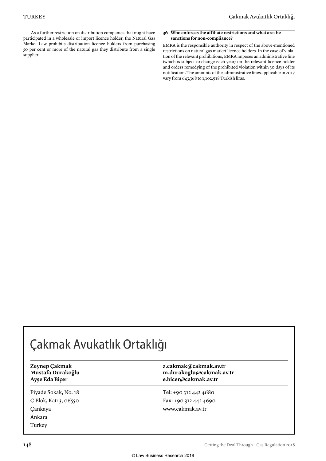As a further restriction on distribution companies that might have participated in a wholesale or import licence holder, the Natural Gas Market Law prohibits distribution licence holders from purchasing 50 per cent or more of the natural gas they distribute from a single supplier.

#### **36 Who enforces the affiliate restrictions and what are the sanctions for non-compliance?**

EMRA is the responsible authority in respect of the above-mentioned restrictions on natural gas market licence holders. In the case of violation of the relevant prohibitions, EMRA imposes an administrative fine (which is subject to change each year) on the relevant licence holder and orders remedying of the prohibited violation within 30 days of its notification. The amounts of the administrative fines applicable in 2017 vary from 643,368 to 1,102,918 Turkish liras.

### Çakmak Avukatlık Ortaklığı

Piyade Sokak, No. 18 C Blok, Kat: 3, 06550 Çankaya Ankara Turkey

**Zeynep Çakmak z.cakmak@cakmak.av.tr Mustafa Durakoğlu m.durakoglu@cakmak.av.tr Ayşe Eda Biçer e.bicer@cakmak.av.tr**

> Tel: +90 312 442 4680 Fax: +90 312 442 4690 www.cakmak.av.tr